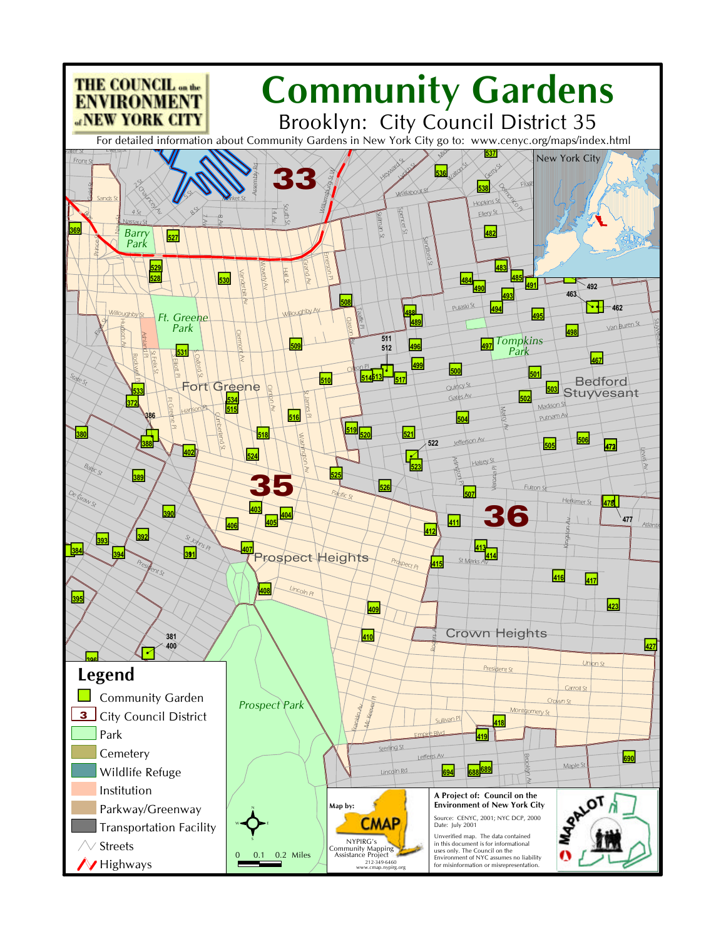